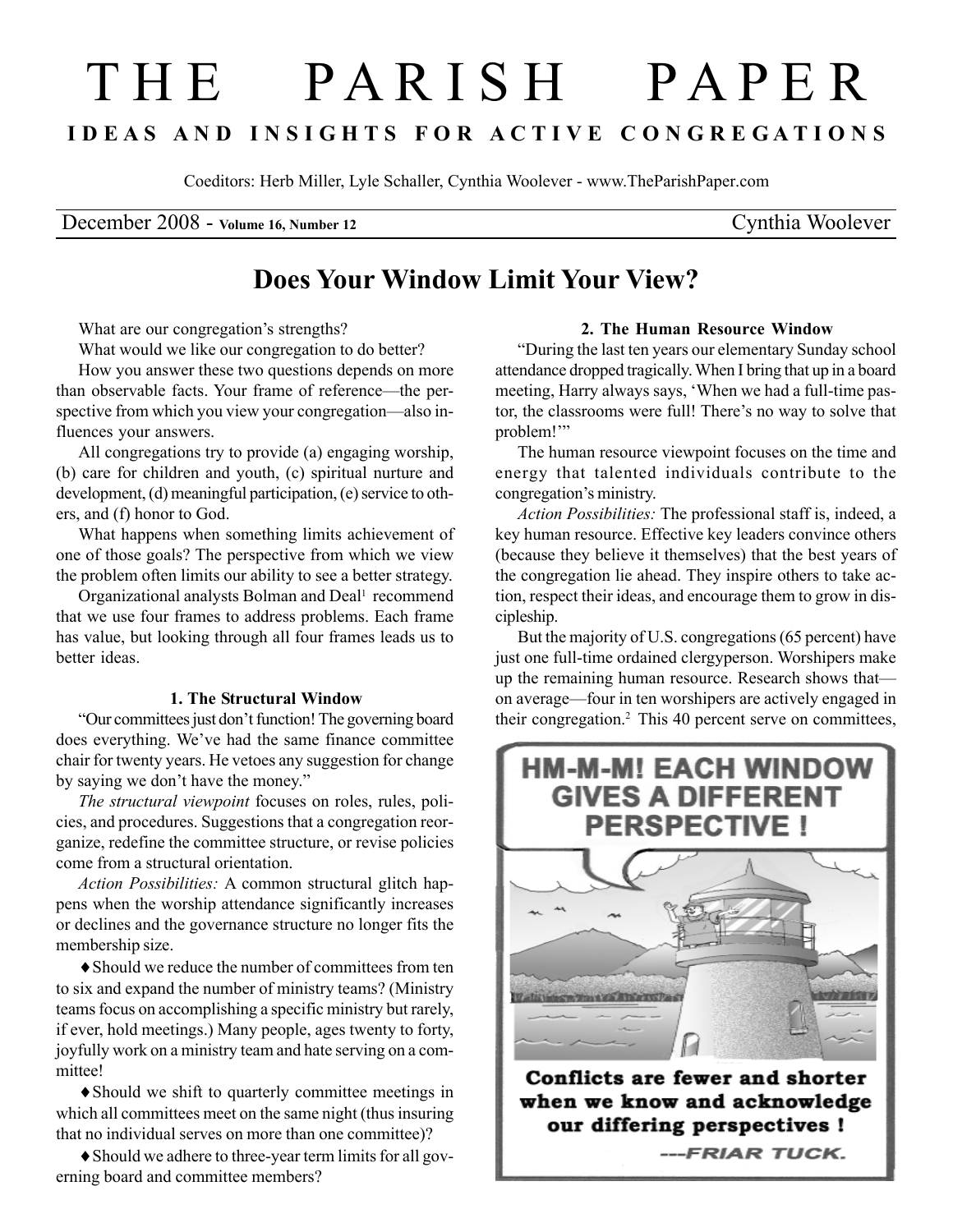# T H E P A R I S H P A P E R I D E A S A N D I N S I G H T S F O R A C T I V E C O N G R E G A T I O N S

Coeditors: Herb Miller, Lyle Schaller, Cynthia Woolever - www.TheParishPaper.com

December 2008 - Volume 16, Number 12 Cynthia Woolever

# Does Your Window Limit Your View?

What are our congregation's strengths?

What would we like our congregation to do better?

How you answer these two questions depends on more than observable facts. Your frame of reference—the perspective from which you view your congregation—also influences your answers.

All congregations try to provide (a) engaging worship, (b) care for children and youth, (c) spiritual nurture and development, (d) meaningful participation, (e) service to others, and (f) honor to God.

What happens when something limits achievement of one of those goals? The perspective from which we view the problem often limits our ability to see a better strategy.

Organizational analysts Bolman and Deal<sup>1</sup> recommend that we use four frames to address problems. Each frame has value, but looking through all four frames leads us to better ideas.

## 1. The Structural Window

"Our committees just don't function! The governing board does everything. We've had the same finance committee chair for twenty years. He vetoes any suggestion for change by saying we don't have the money."

The structural viewpoint focuses on roles, rules, policies, and procedures. Suggestions that a congregation reorganize, redefine the committee structure, or revise policies come from a structural orientation.

Action Possibilities: A common structural glitch happens when the worship attendance significantly increases or declines and the governance structure no longer fits the membership size.

♦Should we reduce the number of committees from ten to six and expand the number of ministry teams? (Ministry teams focus on accomplishing a specific ministry but rarely, if ever, hold meetings.) Many people, ages twenty to forty, joyfully work on a ministry team and hate serving on a committee!

♦Should we shift to quarterly committee meetings in which all committees meet on the same night (thus insuring that no individual serves on more than one committee)?

♦Should we adhere to three-year term limits for all governing board and committee members?

## 2. The Human Resource Window

"During the last ten years our elementary Sunday school attendance dropped tragically. When I bring that up in a board meeting, Harry always says, 'When we had a full-time pastor, the classrooms were full! There's no way to solve that problem!'"

The human resource viewpoint focuses on the time and energy that talented individuals contribute to the congregation's ministry.

Action Possibilities: The professional staff is, indeed, a key human resource. Effective key leaders convince others (because they believe it themselves) that the best years of the congregation lie ahead. They inspire others to take action, respect their ideas, and encourage them to grow in discipleship.

But the majority of U.S. congregations (65 percent) have just one full-time ordained clergyperson. Worshipers make up the remaining human resource. Research shows that on average—four in ten worshipers are actively engaged in their congregation.<sup>2</sup> This 40 percent serve on committees,



when we know and acknowledge our differing perspectives ! ---FRIAR TUCK.